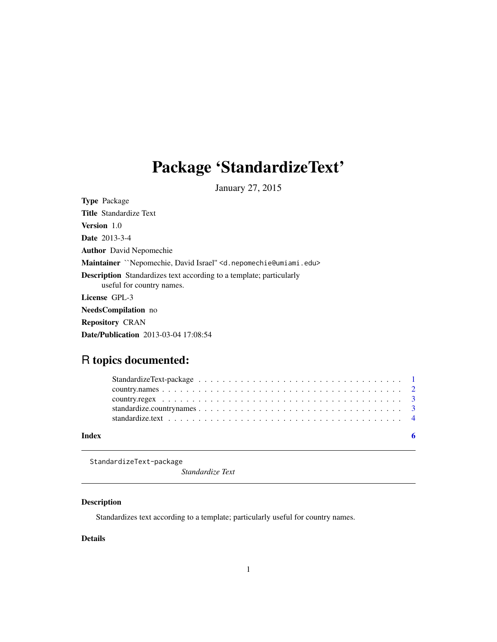# <span id="page-0-0"></span>Package 'StandardizeText'

January 27, 2015

| <b>Type Package</b>                                                                                     |
|---------------------------------------------------------------------------------------------------------|
| <b>Title Standardize Text</b>                                                                           |
| <b>Version</b> 1.0                                                                                      |
| <b>Date</b> 2013-3-4                                                                                    |
| <b>Author</b> David Nepomechie                                                                          |
| Maintainer ``Nepomechie, David Israel'' <d. nepomechie@umiami.edu=""></d.>                              |
| <b>Description</b> Standardizes text according to a template; particularly<br>useful for country names. |
| License GPL-3                                                                                           |
| <b>NeedsCompilation</b> no                                                                              |
| <b>Repository CRAN</b>                                                                                  |
| <b>Date/Publication</b> 2013-03-04 17:08:54                                                             |

# R topics documented:

| Index |  |
|-------|--|

StandardizeText-package

*Standardize Text*

# Description

Standardizes text according to a template; particularly useful for country names.

# Details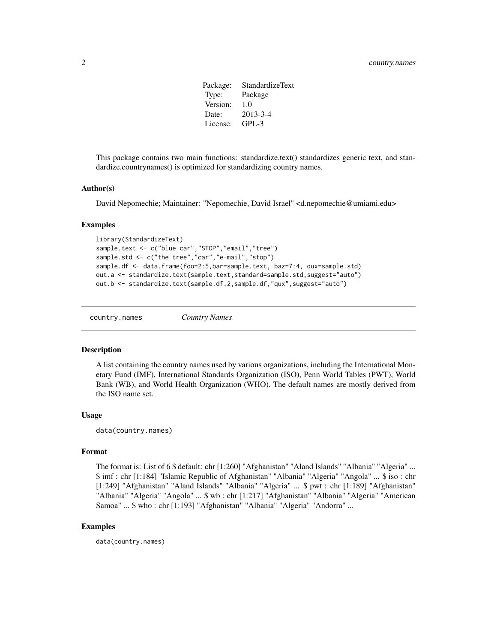Package: StandardizeText Type: Package Version: 1.0 Date: 2013-3-4 License: GPL-3

<span id="page-1-0"></span>This package contains two main functions: standardize.text() standardizes generic text, and standardize.countrynames() is optimized for standardizing country names.

#### Author(s)

David Nepomechie; Maintainer: "Nepomechie, David Israel" <d.nepomechie@umiami.edu>

#### Examples

```
library(StandardizeText)
sample.text <- c("blue car","STOP","email","tree")
sample.std <- c("the tree","car","e-mail","stop")
sample.df <- data.frame(foo=2:5,bar=sample.text, baz=7:4, qux=sample.std)
out.a <- standardize.text(sample.text,standard=sample.std,suggest="auto")
out.b <- standardize.text(sample.df,2,sample.df,"qux",suggest="auto")
```
country.names *Country Names*

#### Description

A list containing the country names used by various organizations, including the International Monetary Fund (IMF), International Standards Organization (ISO), Penn World Tables (PWT), World Bank (WB), and World Health Organization (WHO). The default names are mostly derived from the ISO name set.

### Usage

data(country.names)

#### Format

The format is: List of 6 \$ default: chr [1:260] "Afghanistan" "Aland Islands" "Albania" "Algeria" ... \$ imf : chr [1:184] "Islamic Republic of Afghanistan" "Albania" "Algeria" "Angola" ... \$ iso : chr [1:249] "Afghanistan" "Aland Islands" "Albania" "Algeria" ... \$ pwt : chr [1:189] "Afghanistan" "Albania" "Algeria" "Angola" ... \$ wb : chr [1:217] "Afghanistan" "Albania" "Algeria" "American Samoa" ... \$ who : chr [1:193] "Afghanistan" "Albania" "Algeria" "Andorra" ...

### Examples

data(country.names)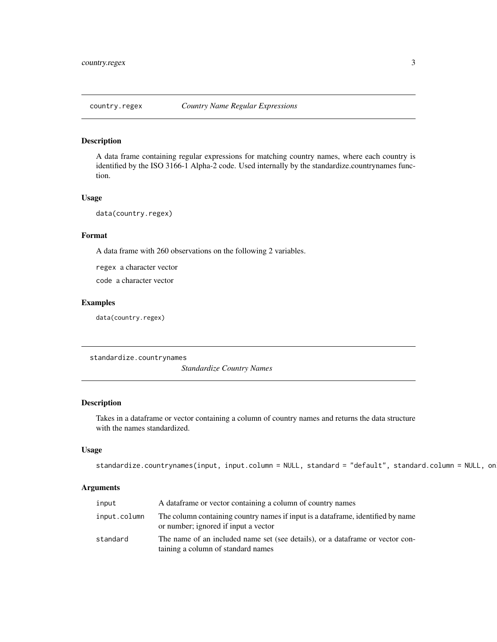<span id="page-2-0"></span>

### Description

A data frame containing regular expressions for matching country names, where each country is identified by the ISO 3166-1 Alpha-2 code. Used internally by the standardize.countrynames function.

#### Usage

data(country.regex)

### Format

A data frame with 260 observations on the following 2 variables.

regex a character vector

code a character vector

# Examples

data(country.regex)

standardize.countrynames

*Standardize Country Names*

# Description

Takes in a dataframe or vector containing a column of country names and returns the data structure with the names standardized.

# Usage

```
standardize.countrynames(input, input.column = NULL, standard = "default", standard.column = NULL, on
```
#### Arguments

| input        | A data frame or vector containing a column of country names                                                              |
|--------------|--------------------------------------------------------------------------------------------------------------------------|
| input.column | The column containing country names if input is a data frame, identified by name<br>or number; ignored if input a vector |
| standard     | The name of an included name set (see details), or a data frame or vector con-<br>taining a column of standard names     |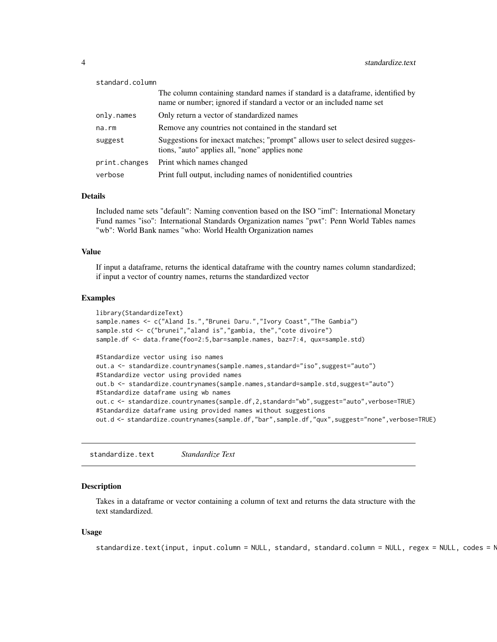<span id="page-3-0"></span>

| standard.column |                                                                                                                                                         |
|-----------------|---------------------------------------------------------------------------------------------------------------------------------------------------------|
|                 | The column containing standard names if standard is a data frame, identified by<br>name or number; ignored if standard a vector or an included name set |
| only.names      | Only return a vector of standardized names                                                                                                              |
| $na$ . $rm$     | Remove any countries not contained in the standard set                                                                                                  |
| suggest         | Suggestions for inexact matches; "prompt" allows user to select desired sugges-<br>tions, "auto" applies all, "none" applies none                       |
| print.changes   | Print which names changed                                                                                                                               |
| verbose         | Print full output, including names of nonidentified countries                                                                                           |

# Details

Included name sets "default": Naming convention based on the ISO "imf": International Monetary Fund names "iso": International Standards Organization names "pwt": Penn World Tables names "wb": World Bank names "who: World Health Organization names

#### Value

If input a dataframe, returns the identical dataframe with the country names column standardized; if input a vector of country names, returns the standardized vector

# Examples

```
library(StandardizeText)
sample.names <- c("Aland Is.","Brunei Daru.","Ivory Coast","The Gambia")
sample.std <- c("brunei","aland is","gambia, the","cote divoire")
sample.df <- data.frame(foo=2:5,bar=sample.names, baz=7:4, qux=sample.std)
#Standardize vector using iso names
out.a <- standardize.countrynames(sample.names,standard="iso",suggest="auto")
#Standardize vector using provided names
out.b <- standardize.countrynames(sample.names,standard=sample.std,suggest="auto")
#Standardize dataframe using wb names
out.c <- standardize.countrynames(sample.df,2,standard="wb",suggest="auto",verbose=TRUE)
#Standardize dataframe using provided names without suggestions
out.d <- standardize.countrynames(sample.df,"bar",sample.df,"qux",suggest="none",verbose=TRUE)
```
standardize.text *Standardize Text*

### Description

Takes in a dataframe or vector containing a column of text and returns the data structure with the text standardized.

#### Usage

standardize.text(input, input.column = NULL, standard, standard.column = NULL, regex = NULL, codes = N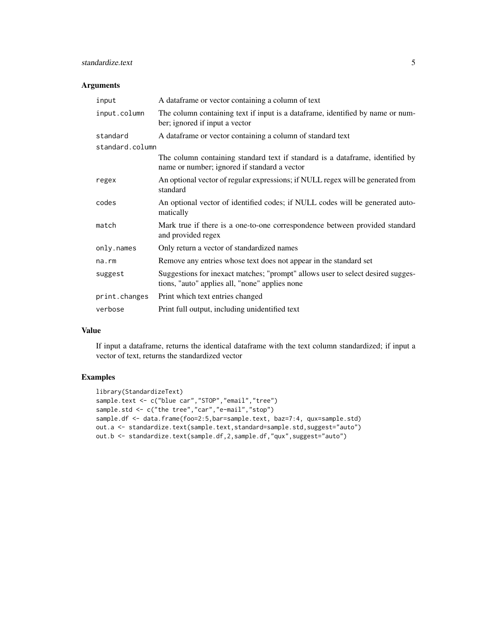# standardize.text 5

# Arguments

| input           | A data frame or vector containing a column of text                                                                                |  |  |  |
|-----------------|-----------------------------------------------------------------------------------------------------------------------------------|--|--|--|
| input.column    | The column containing text if input is a dataframe, identified by name or num-<br>ber; ignored if input a vector                  |  |  |  |
| standard        | A dataframe or vector containing a column of standard text                                                                        |  |  |  |
| standard.column |                                                                                                                                   |  |  |  |
|                 | The column containing standard text if standard is a dataframe, identified by<br>name or number; ignored if standard a vector     |  |  |  |
| regex           | An optional vector of regular expressions; if NULL regex will be generated from<br>standard                                       |  |  |  |
| codes           | An optional vector of identified codes; if NULL codes will be generated auto-<br>matically                                        |  |  |  |
| match           | Mark true if there is a one-to-one correspondence between provided standard<br>and provided regex                                 |  |  |  |
| only.names      | Only return a vector of standardized names                                                                                        |  |  |  |
| $na$ . $rm$     | Remove any entries whose text does not appear in the standard set                                                                 |  |  |  |
| suggest         | Suggestions for inexact matches; "prompt" allows user to select desired sugges-<br>tions, "auto" applies all, "none" applies none |  |  |  |
| print.changes   | Print which text entries changed                                                                                                  |  |  |  |
| verbose         | Print full output, including unidentified text                                                                                    |  |  |  |

# Value

If input a dataframe, returns the identical dataframe with the text column standardized; if input a vector of text, returns the standardized vector

# Examples

```
library(StandardizeText)
sample.text <- c("blue car","STOP","email","tree")
sample.std <- c("the tree","car","e-mail","stop")
sample.df <- data.frame(foo=2:5,bar=sample.text, baz=7:4, qux=sample.std)
out.a <- standardize.text(sample.text,standard=sample.std,suggest="auto")
out.b <- standardize.text(sample.df, 2, sample.df, "qux", suggest="auto")
```